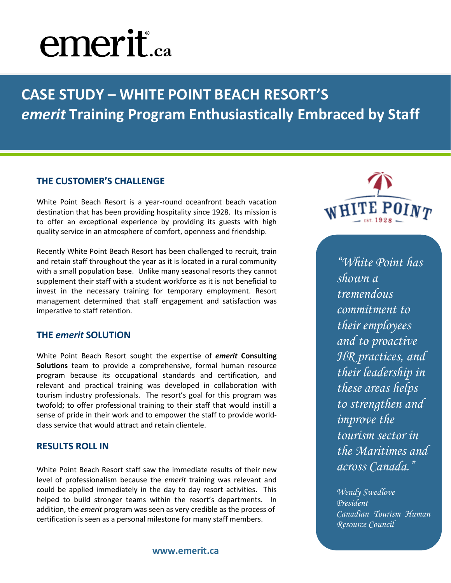## **emerit**.ca

**CASE STUDY – WHITE POINT BEACH RESORT'S**  *emerit* **Training Program Enthusiastically Embraced by Staff**

### **THE CUSTOMER'S CHALLENGE**

White Point Beach Resort is a year-round oceanfront beach vacation destination that has been providing hospitality since 1928. Its mission is to offer an exceptional experience by providing its guests with high quality service in an atmosphere of comfort, openness and friendship.

Recently White Point Beach Resort has been challenged to recruit, train and retain staff throughout the year as it is located in a rural community with a small population base. Unlike many seasonal resorts they cannot supplement their staff with a student workforce as it is not beneficial to invest in the necessary training for temporary employment. Resort management determined that staff engagement and satisfaction was imperative to staff retention.

#### **THE** *emerit* **SOLUTION**

White Point Beach Resort sought the expertise of *emerit* **Consulting Solutions** team to provide a comprehensive, formal human resource program because its occupational standards and certification, and relevant and practical training was developed in collaboration with tourism industry professionals. The resort's goal for this program was twofold; to offer professional training to their staff that would instill a sense of pride in their work and to empower the staff to provide worldclass service that would attract and retain clientele.

#### **RESULTS ROLL IN**

White Point Beach Resort staff saw the immediate results of their new level of professionalism because the *emerit* training was relevant and could be applied immediately in the day to day resort activities. This helped to build stronger teams within the resort's departments. In addition, the *emerit* program was seen as very credible as the process of certification is seen as a personal milestone for many staff members.

WHITE POINT

*"White Point has shown a tremendous commitment to their employees and to proactive HR practices, and their leadership in these areas helps to strengthen and improve the tourism sector in the Maritimes and across Canada."* 

*Wendy Swedlove President Canadian Tourism Human Resource Council*